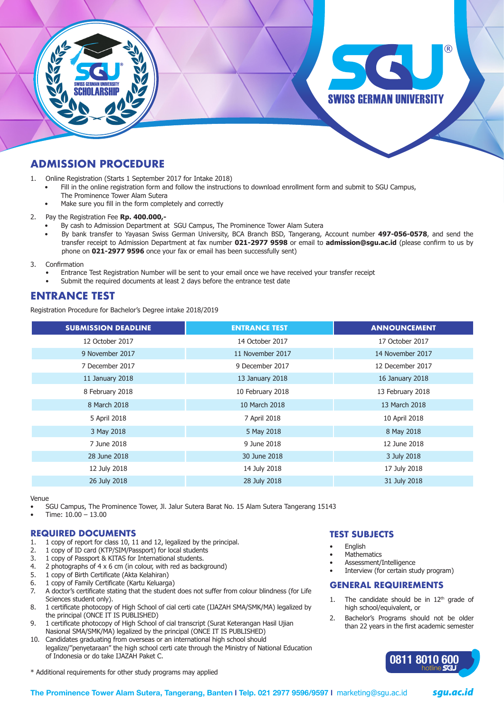

# **ADMISSION PROCEDURE**

1. Online Registration (Starts 1 September 2017 for Intake 2018)

- Fill in the online registration form and follow the instructions to download enrollment form and submit to SGU Campus, The Prominence Tower Alam Sutera
- Make sure you fill in the form completely and correctly
- 2. Pay the Registration Fee **Rp. 400.000,-**
	- By cash to Admission Department at SGU Campus, The Prominence Tower Alam Sutera
	- By bank transfer to Yayasan Swiss German University, BCA Branch BSD, Tangerang, Account number 497-056-0578, and send the transfer receipt to Admission Department at fax number **021-2977 9598** or email to **admission@sgu.ac.id** (please confirm to us by phone on **021-2977 9596** once your fax or email has been successfully sent)

3. Confirmation

- Entrance Test Registration Number will be sent to your email once we have received your transfer receipt
- Submit the required documents at least 2 days before the entrance test date

# **ENTRANCE TEST**

Registration Procedure for Bachelor's Degree intake 2018/2019

| <b>SUBMISSION DEADLINE</b> | <b>ENTRANCE TEST</b> | <b>ANNOUNCEMENT</b> |
|----------------------------|----------------------|---------------------|
| 12 October 2017            | 14 October 2017      | 17 October 2017     |
| 9 November 2017            | 11 November 2017     | 14 November 2017    |
| 7 December 2017            | 9 December 2017      | 12 December 2017    |
| 11 January 2018            | 13 January 2018      | 16 January 2018     |
| 8 February 2018            | 10 February 2018     | 13 February 2018    |
| 8 March 2018               | 10 March 2018        | 13 March 2018       |
| 5 April 2018               | 7 April 2018         | 10 April 2018       |
| 3 May 2018                 | 5 May 2018           | 8 May 2018          |
| 7 June 2018                | 9 June 2018          | 12 June 2018        |
| 28 June 2018               | 30 June 2018         | 3 July 2018         |
| 12 July 2018               | 14 July 2018         | 17 July 2018        |
| 26 July 2018               | 28 July 2018         | 31 July 2018        |

Venue

SGU Campus, The Prominence Tower, Jl. Jalur Sutera Barat No. 15 Alam Sutera Tangerang 15143

Time:  $10.00 - 13.00$ 

#### **REQUIRED DOCUMENTS**

- 1. 1 copy of report for class 10, 11 and 12, legalized by the principal.
- 2. 1 copy of ID card (KTP/SIM/Passport) for local students
- 3. 1 copy of Passport & KITAS for International students.
- 4. 2 photographs of 4 x 6 cm (in colour, with red as background)
- 5. 1 copy of Birth Certificate (Akta Kelahiran)
- 6. 1 copy of Family Certificate (Kartu Keluarga)
- 7. A doctor's certificate stating that the student does not suffer from colour blindness (for Life Sciences student only).
- 8. 1 certificate photocopy of High School of cial certi cate (IJAZAH SMA/SMK/MA) legalized by the principal (ONCE IT IS PUBLISHED)
- 9. 1 certificate photocopy of High School of cial transcript (Surat Keterangan Hasil Ujian Nasional SMA/SMK/MA) legalized by the principal (ONCE IT IS PUBLISHED)
- 10. Candidates graduating from overseas or an international high school should legalize/"penyetaraan" the high school certi cate through the Ministry of National Education of Indonesia or do take IJAZAH Paket C.

\* Additional requirements for other study programs may applied

### **TEST SUBJECTS**

- **Fnalish**
- **Mathematics**
- Assessment/Intelligence
- Interview (for certain study program)

#### **GENERAL REQUIREMENTS**

- 1. The candidate should be in  $12<sup>th</sup>$  grade of high school/equivalent, or
- 2. Bachelor's Programs should not be older than 22 years in the first academic semester